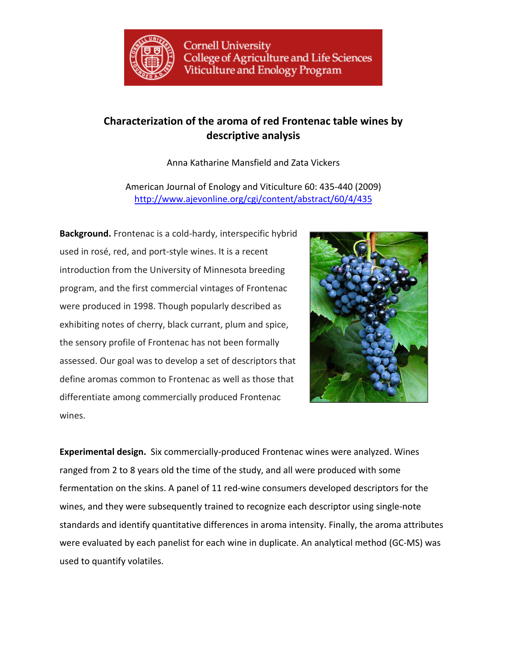

## **Characterization of the aroma of red Frontenac table wines by descriptive analysis**

Anna Katharine Mansfield and Zata Vickers

American Journal of Enology and Viticulture 60: 435-440 (2009) http://www.ajevonline.org/cgi/content/abstract/60/4/435

**Background.** Frontenac is a cold-hardy, interspecific hybrid used in rosé, red, and port-style wines. It is a recent introduction from the University of Minnesota breeding program, and the first commercial vintages of Frontenac were produced in 1998. Though popularly described as exhibiting notes of cherry, black currant, plum and spice, the sensory profile of Frontenac has not been formally assessed. Our goal was to develop a set of descriptors that define aromas common to Frontenac as well as those that differentiate among commercially produced Frontenac wines.



**Experimental design.** Six commercially-produced Frontenac wines were analyzed. Wines ranged from 2 to 8 years old the time of the study, and all were produced with some fermentation on the skins. A panel of 11 red-wine consumers developed descriptors for the wines, and they were subsequently trained to recognize each descriptor using single-note standards and identify quantitative differences in aroma intensity. Finally, the aroma attributes were evaluated by each panelist for each wine in duplicate. An analytical method (GC-MS) was used to quantify volatiles.